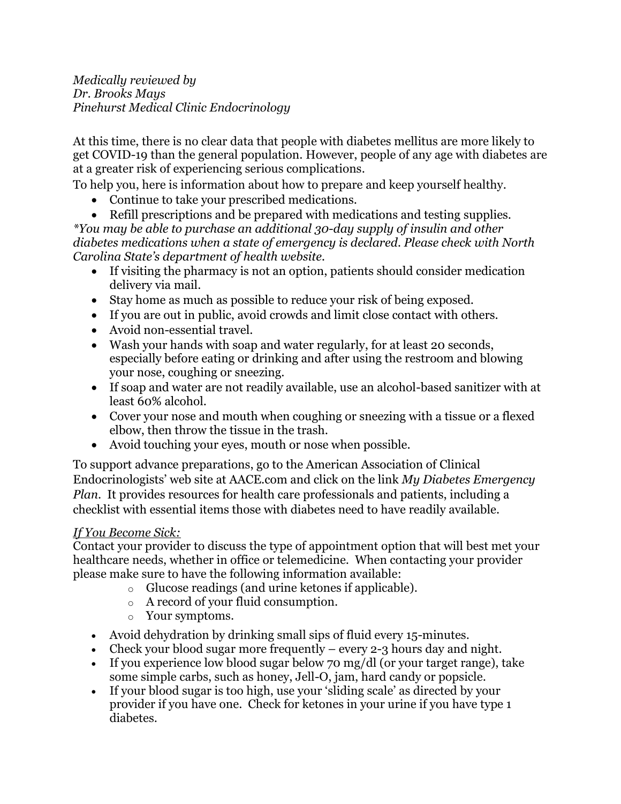*Medically reviewed by Dr. Brooks Mays Pinehurst Medical Clinic Endocrinology* 

At this time, there is no clear data that people with diabetes mellitus are more likely to get COVID-19 than the general population. However, people of any age with diabetes are at a greater risk of experiencing serious complications.

To help you, here is information about how to prepare and keep yourself healthy.

- Continue to take your prescribed medications.
- Refill prescriptions and be prepared with medications and testing supplies.

*\*You may be able to purchase an additional 30-day supply of insulin and other diabetes medications when a state of emergency is declared. Please check with North Carolina State's department of health website.*

- If visiting the pharmacy is not an option, patients should consider medication delivery via mail.
- Stay home as much as possible to reduce your risk of being exposed.
- If you are out in public, avoid crowds and limit close contact with others.
- Avoid non-essential travel.
- Wash your hands with soap and water regularly, for at least 20 seconds, especially before eating or drinking and after using the restroom and blowing your nose, coughing or sneezing.
- If soap and water are not readily available, use an alcohol-based sanitizer with at least 60% alcohol.
- Cover your nose and mouth when coughing or sneezing with a tissue or a flexed elbow, then throw the tissue in the trash.
- Avoid touching your eyes, mouth or nose when possible.

To support advance preparations, go to the American Association of Clinical Endocrinologists' web site at AACE.com and click on the link *My Diabetes Emergency Plan*. It provides resources for health care professionals and patients, including a checklist with essential items those with diabetes need to have readily available.

## *If You Become Sick:*

Contact your provider to discuss the type of appointment option that will best met your healthcare needs, whether in office or telemedicine. When contacting your provider please make sure to have the following information available:

- o Glucose readings (and urine ketones if applicable).
- o A record of your fluid consumption.
- o Your symptoms.
- Avoid dehydration by drinking small sips of fluid every 15-minutes.
- Check your blood sugar more frequently every 2-3 hours day and night.
- If you experience low blood sugar below 70 mg/dl (or your target range), take some simple carbs, such as honey, Jell-O, jam, hard candy or popsicle.
- If your blood sugar is too high, use your 'sliding scale' as directed by your provider if you have one. Check for ketones in your urine if you have type 1 diabetes.